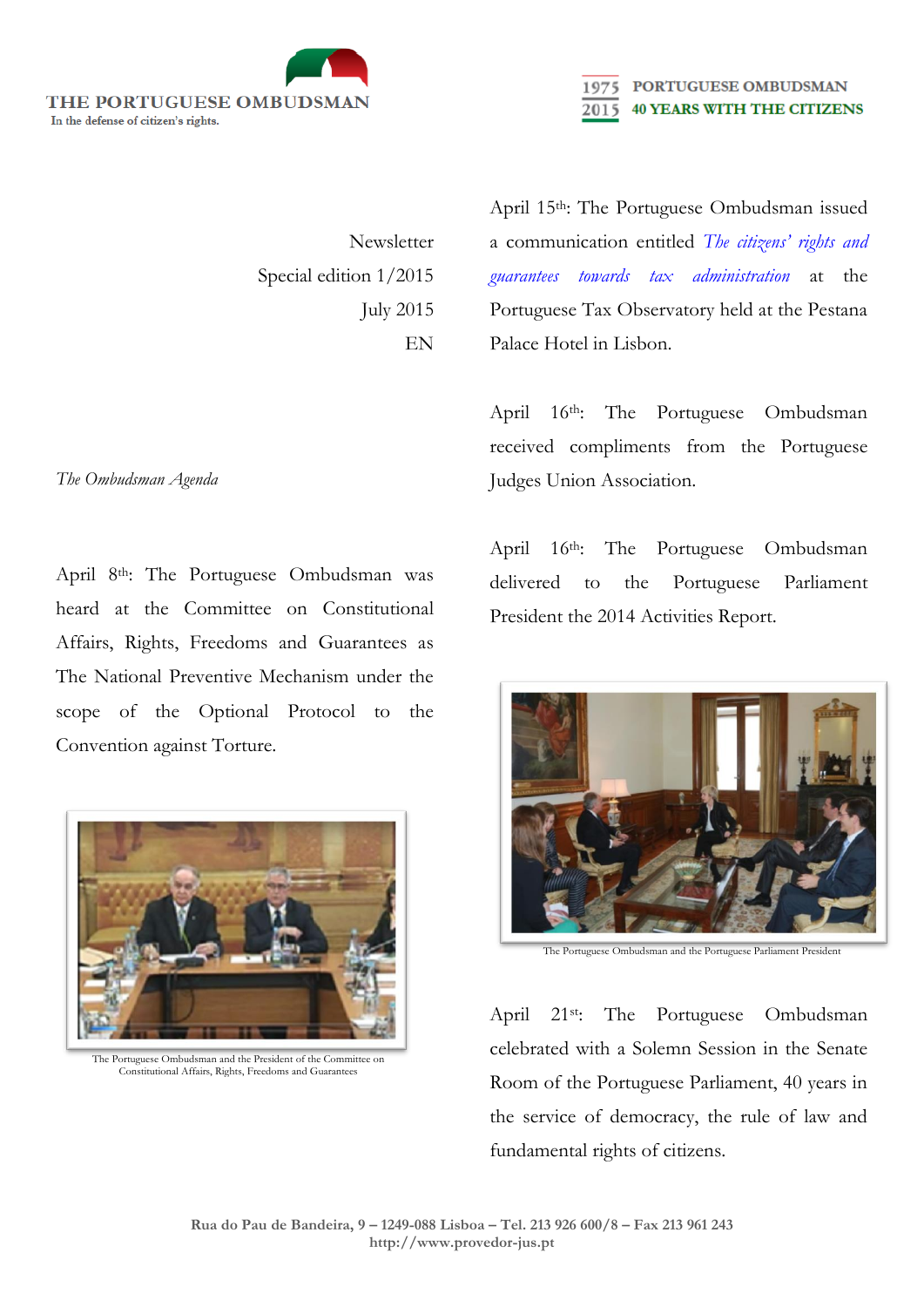

Newsletter Special edition 1/2015 July 2015 EN

April 15th: The Portuguese Ombudsman issued a communication entitled *[The citizens' rights and](http://www.provedor-jus.pt/?idc=97&idi=15607)  [guarantees towards tax administration](http://www.provedor-jus.pt/?idc=97&idi=15607)* at the Portuguese Tax Observatory held at the Pestana Palace Hotel in Lisbon.

2015

PORTUGUESE OMBUDSMAN

**40 YEARS WITH THE CITIZENS** 

April 16<sup>th</sup>: The Portuguese Ombudsman received compliments from the Portuguese Judges Union Association.

April 16<sup>th</sup>: The Portuguese Ombudsman delivered to the Portuguese Parliament President the 2014 Activities Report.



The Portuguese Ombudsman and the Portuguese Parliament President

April 21st: The Portuguese Ombudsman celebrated with a Solemn Session in the Senate Room of the Portuguese Parliament, 40 years in the service of democracy, the rule of law and fundamental rights of citizens.

## *The Ombudsman Agenda*

April 8th: The Portuguese Ombudsman was heard at the Committee on Constitutional Affairs, Rights, Freedoms and Guarantees as The National Preventive Mechanism under the scope of the Optional Protocol to the Convention against Torture.



The Portuguese Ombudsman and the President of the Committee on Constitutional Affairs, Rights, Freedoms and Guarantees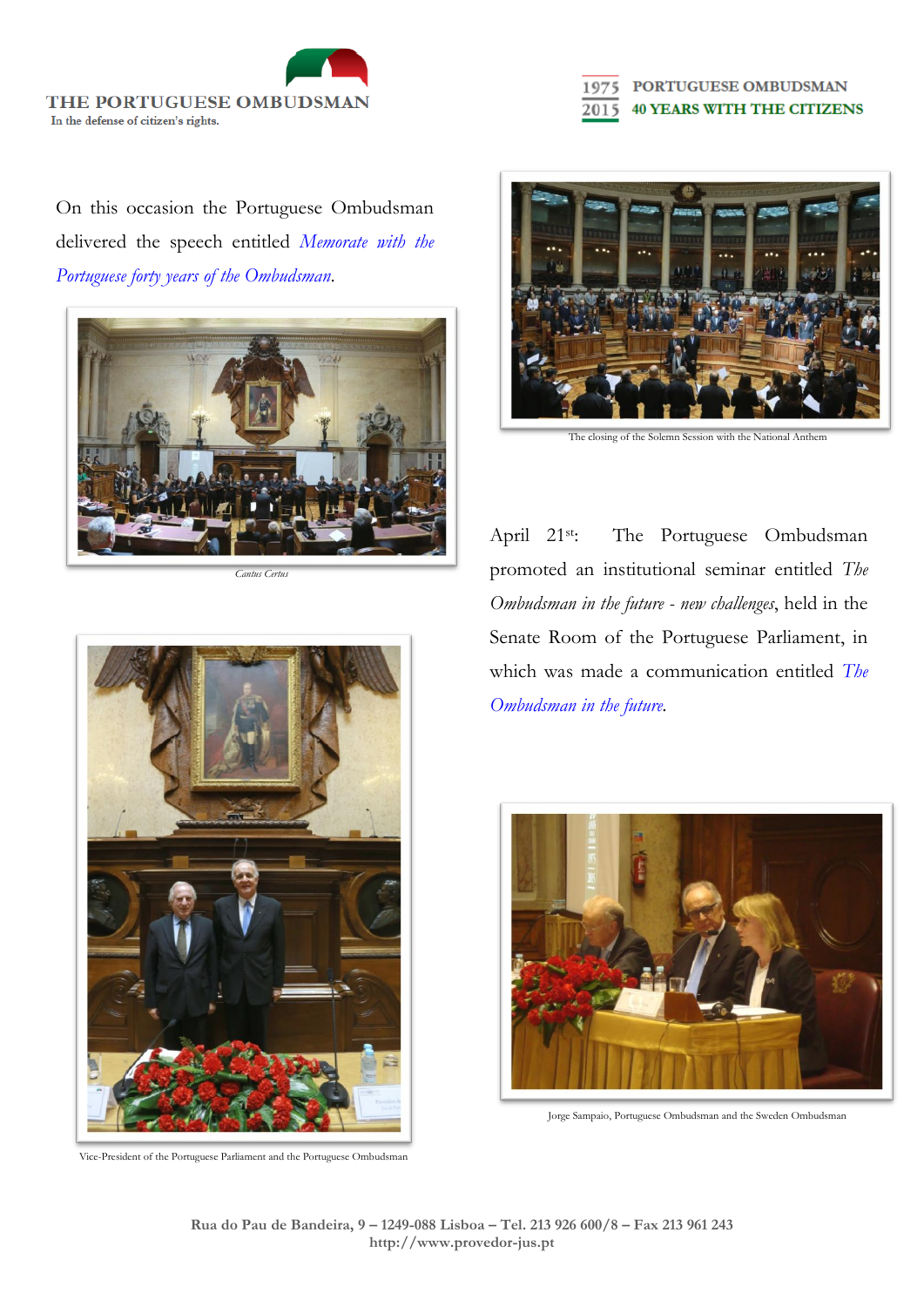THE PORTUGUESE OMBUDSMAN In the defense of citizen's rights.

PORTUGUESE OMBUDSMAN **40 YEARS WITH THE CITIZENS** 2015

On this occasion the Portuguese Ombudsman delivered the speech entitled *[Memorate with the](http://www.provedor-jus.pt/?idc=97&idi=15613)  [Portuguese forty years of the Ombudsman.](http://www.provedor-jus.pt/?idc=97&idi=15613)*



*Cantus Certus*



Vice-President of the Portuguese Parliament and the Portuguese Ombudsman



The closing of the Solemn Session with the National Anthem

April 21st: The Portuguese Ombudsman promoted an institutional seminar entitled *The Ombudsman in the future - new challenges*, held in the Senate Room of the Portuguese Parliament, in which was made a communication entitled *[The](http://www.provedor-jus.pt/?idc=97&idi=15614)  [Ombudsman in the future.](http://www.provedor-jus.pt/?idc=97&idi=15614)*

![](_page_1_Picture_10.jpeg)

Jorge Sampaio, Portuguese Ombudsman and the Sweden Ombudsman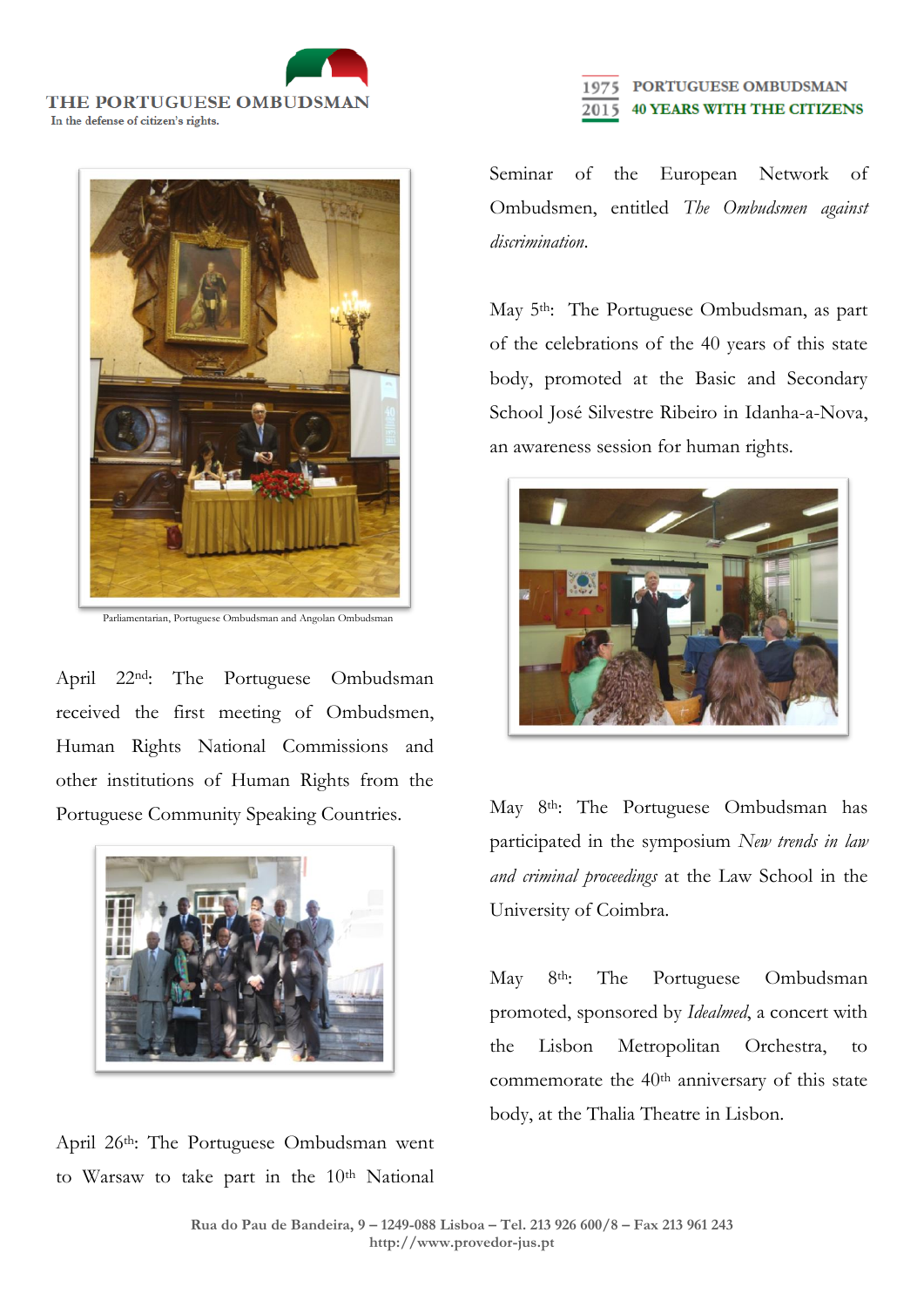THE PORTUGUESE OMBUDSMAN In the defense of citizen's rights.

![](_page_2_Picture_1.jpeg)

Parliamentarian, Portuguese Ombudsman and Angolan Ombudsman

April 22nd: The Portuguese Ombudsman received the first meeting of Ombudsmen, Human Rights National Commissions and other institutions of Human Rights from the Portuguese Community Speaking Countries.

![](_page_2_Picture_4.jpeg)

April 26th: The Portuguese Ombudsman went to Warsaw to take part in the 10<sup>th</sup> National

## PORTUGUESE OMBUDSMAN **40 YEARS WITH THE CITIZENS** 2015

Seminar of the European Network of Ombudsmen, entitled *The Ombudsmen against discrimination*.

May 5<sup>th</sup>: The Portuguese Ombudsman, as part of the celebrations of the 40 years of this state body, promoted at the Basic and Secondary School José Silvestre Ribeiro in Idanha-a-Nova, an awareness session for human rights.

![](_page_2_Picture_9.jpeg)

May 8th: The Portuguese Ombudsman has participated in the symposium *New trends in law and criminal proceedings* at the Law School in the University of Coimbra.

May 8th: The Portuguese Ombudsman promoted, sponsored by *Idealmed*, a concert with the Lisbon Metropolitan Orchestra, to commemorate the 40<sup>th</sup> anniversary of this state body, at the Thalia Theatre in Lisbon.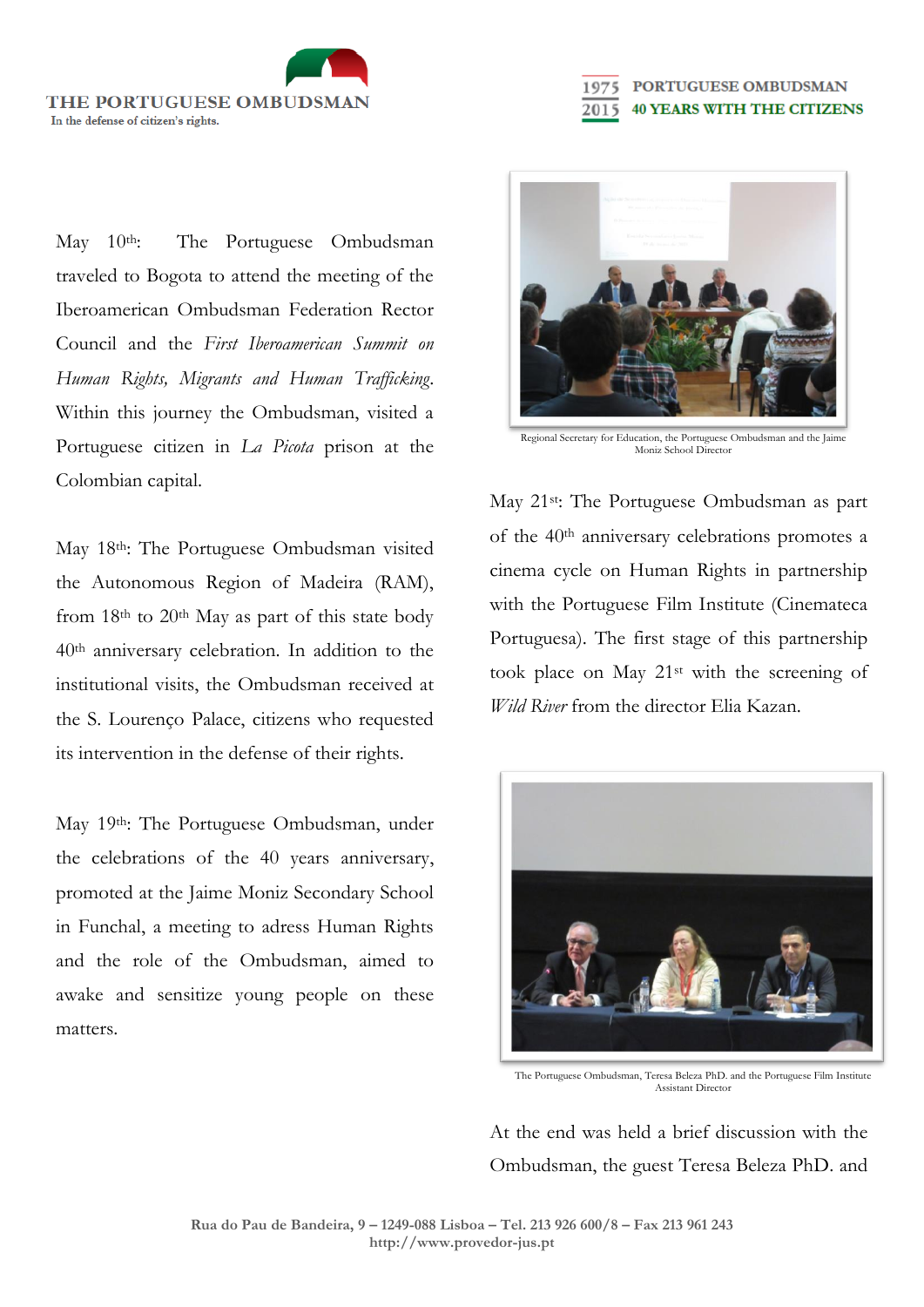THE PORTUGUESE OMBUDSMAN In the defense of citizen's rights.

May 10<sup>th</sup>: The Portuguese Ombudsman traveled to Bogota to attend the meeting of the Iberoamerican Ombudsman Federation Rector Council and the *First Iberoamerican Summit on Human Rights, Migrants and Human Trafficking*. Within this journey the Ombudsman, visited a Portuguese citizen in *La Picota* prison at the Colombian capital.

May 18<sup>th</sup>: The Portuguese Ombudsman visited the Autonomous Region of Madeira (RAM), from 18<sup>th</sup> to 20<sup>th</sup> May as part of this state body 40th anniversary celebration. In addition to the institutional visits, the Ombudsman received at the S. Lourenço Palace, citizens who requested its intervention in the defense of their rights.

May 19th: The Portuguese Ombudsman, under the celebrations of the 40 years anniversary, promoted at the Jaime Moniz Secondary School in Funchal, a meeting to adress Human Rights and the role of the Ombudsman, aimed to awake and sensitize young people on these matters.

![](_page_3_Picture_4.jpeg)

2015

PORTUGUESE OMBUDSMAN

**40 YEARS WITH THE CITIZENS** 

Regional Secretary for Education, the Portuguese Ombudsman and the Jaime Moniz School Director

May 21st: The Portuguese Ombudsman as part of the 40th anniversary celebrations promotes a cinema cycle on Human Rights in partnership with the Portuguese Film Institute (Cinemateca Portuguesa). The first stage of this partnership took place on May 21st with the screening of *Wild River* from the director Elia Kazan.

![](_page_3_Picture_7.jpeg)

The Portuguese Ombudsman, Teresa Beleza PhD. and the Portuguese Film Institute Assistant Director

At the end was held a brief discussion with the Ombudsman, the guest Teresa Beleza PhD. and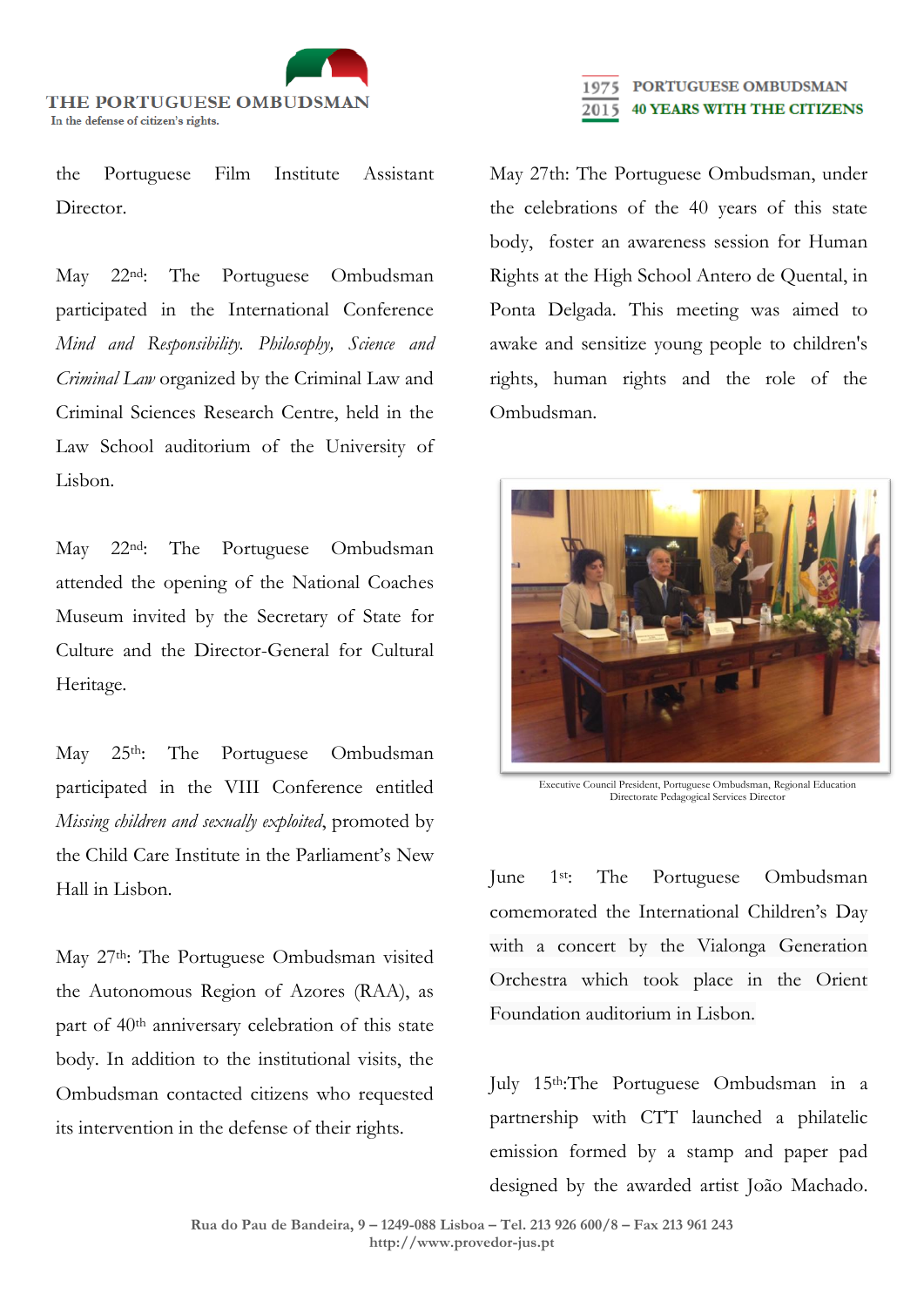![](_page_4_Picture_0.jpeg)

the Portuguese Film Institute Assistant Director.

May 22nd: The Portuguese Ombudsman participated in the International Conference *Mind and Responsibility. Philosophy, Science and Criminal Law* organized by the Criminal Law and Criminal Sciences Research Centre, held in the Law School auditorium of the University of Lisbon.

May 22nd: The Portuguese Ombudsman attended the opening of the National Coaches Museum invited by the Secretary of State for Culture and the Director-General for Cultural Heritage.

May 25<sup>th</sup>: The Portuguese Ombudsman participated in the VIII Conference entitled *Missing children and sexually exploited*, promoted by the Child Care Institute in the Parliament's New Hall in Lisbon.

May 27th: The Portuguese Ombudsman visited the Autonomous Region of Azores (RAA), as part of 40th anniversary celebration of this state body. In addition to the institutional visits, the Ombudsman contacted citizens who requested its intervention in the defense of their rights.

## PORTUGUESE OMBUDSMAN **40 YEARS WITH THE CITIZENS** 2015

May 27th: The Portuguese Ombudsman, under the celebrations of the 40 years of this state body, foster an awareness session for Human Rights at the High School Antero de Quental, in Ponta Delgada. This meeting was aimed to awake and sensitize young people to children's rights, human rights and the role of the Ombudsman.

![](_page_4_Picture_8.jpeg)

Executive Council President, Portuguese Ombudsman, Regional Education Directorate Pedagogical Services Director

June 1st: The Portuguese Ombudsman comemorated the International Children's Day with a concert by the Vialonga Generation Orchestra which took place in the Orient Foundation auditorium in Lisbon.

July 15th:The Portuguese Ombudsman in a partnership with CTT launched a philatelic emission formed by a stamp and paper pad designed by the awarded artist João Machado.